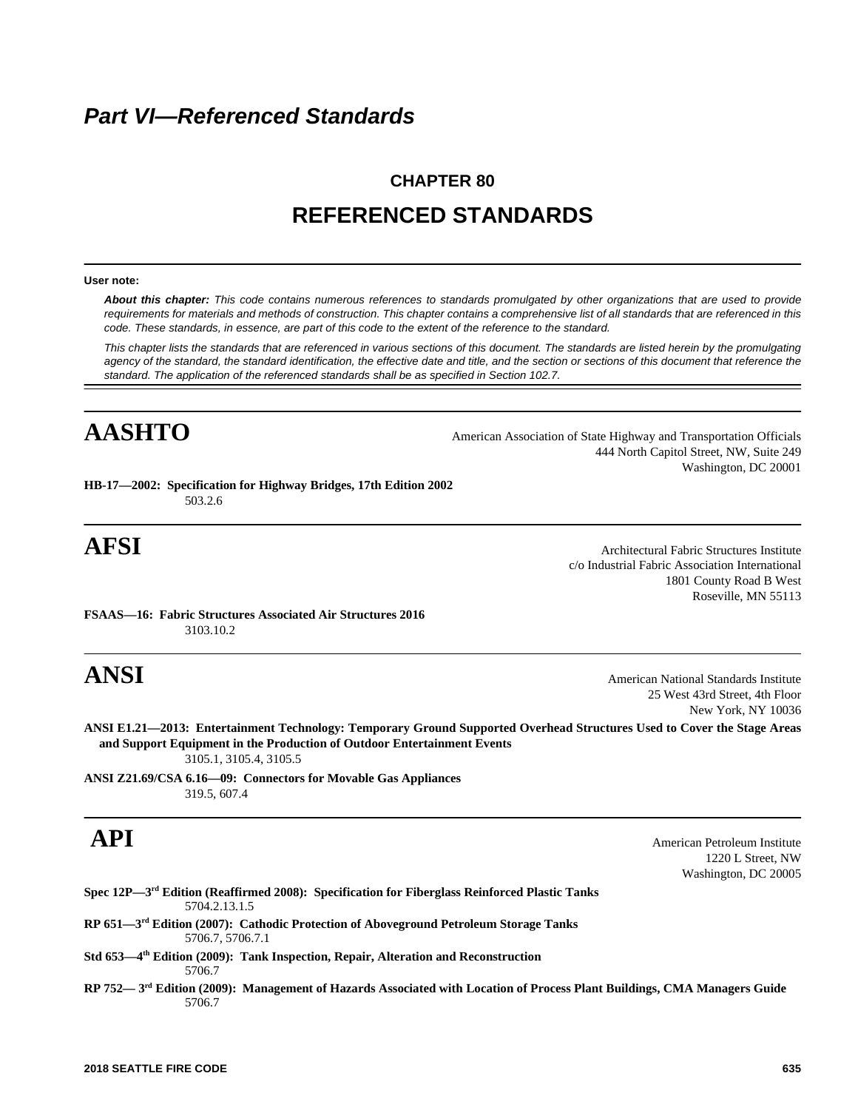# *Part VI—Referenced Standards*

# **CHAPTER 80 REFERENCED STANDARDS**

## **User note:**

*About this chapter: This code contains numerous references to standards promulgated by other organizations that are used to provide requirements for materials and methods of construction. This chapter contains a comprehensive list of all standards that are referenced in this code. These standards, in essence, are part of this code to the extent of the reference to the standard.*

*This chapter lists the standards that are referenced in various sections of this document. The standards are listed herein by the promulgating agency of the standard, the standard identification, the effective date and title, and the section or sections of this document that reference the standard. The application of the referenced standards shall be as specified in Section 102.7.*

AASHTO 444 North Capitol Street, NW, Suite 249 Washington, DC 20001

**HB-17—2002: Specification for Highway Bridges, 17th Edition 2002** 503.2.6

**AFSI** Architectural Fabric Structures Institute c/o Industrial Fabric Association International 1801 County Road B West Roseville, MN 55113

**FSAAS—16: Fabric Structures Associated Air Structures 2016** 3103.10.2

**ANSI** American National Standards Institute 25 West 43rd Street, 4th Floor New York, NY 10036

**ANSI E1.21—2013: Entertainment Technology: Temporary Ground Supported Overhead Structures Used to Cover the Stage Areas and Support Equipment in the Production of Outdoor Entertainment Events** 3105.1, 3105.4, 3105.5

**ANSI Z21.69/CSA 6.16—09: Connectors for Movable Gas Appliances** 319.5, 607.4

**API** American Petroleum Institute 1220 L Street, NW Washington, DC 20005

|               | Spec $12P - 3rd$ Edition (Reaffirmed 2008): Specification for Fiberglass Reinforced Plastic Tanks |
|---------------|---------------------------------------------------------------------------------------------------|
| 5704.2.13.1.5 |                                                                                                   |

**RP 651—3rd Edition (2007): Cathodic Protection of Aboveground Petroleum Storage Tanks** 5706.7, 5706.7.1

**Std 653—4th Edition (2009): Tank Inspection, Repair, Alteration and Reconstruction** 5706.7

**RP 752— 3rd Edition (2009): Management of Hazards Associated with Location of Process Plant Buildings, CMA Managers Guide** 5706.7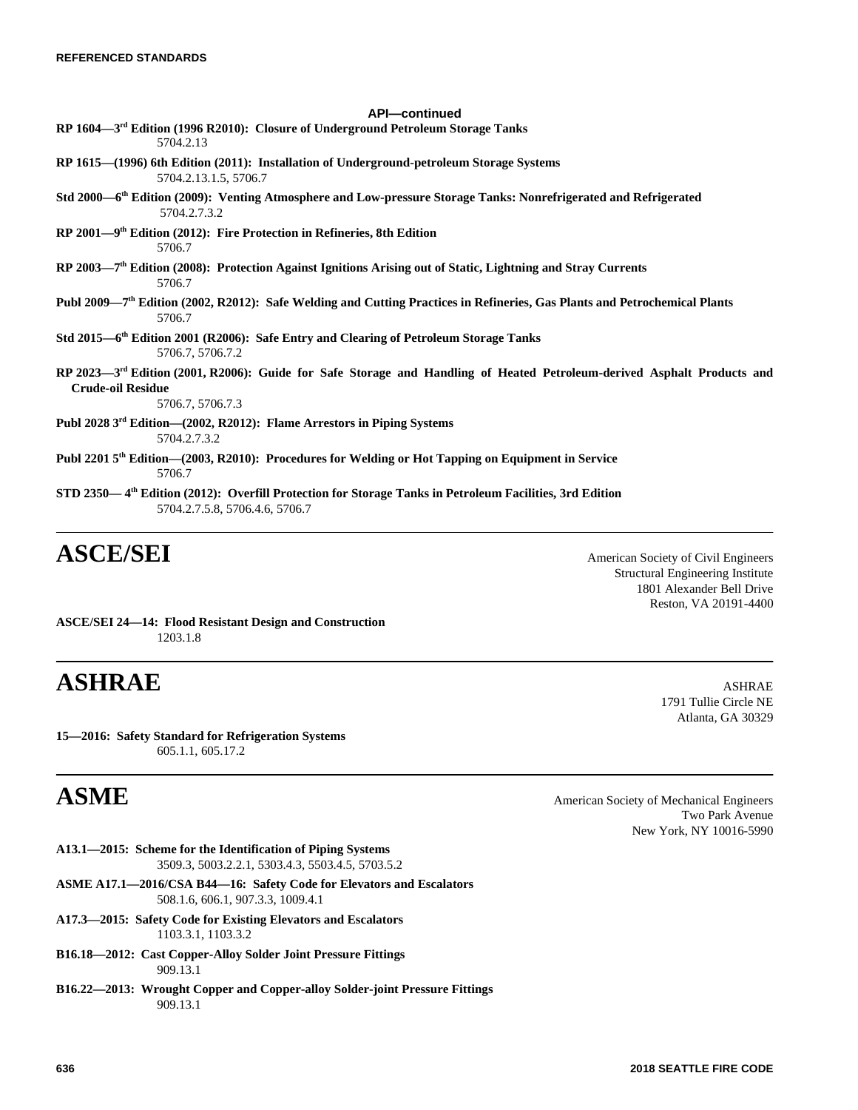| <b>API-continued</b>                                                                                                                                                                |
|-------------------------------------------------------------------------------------------------------------------------------------------------------------------------------------|
| RP 1604-3 <sup>rd</sup> Edition (1996 R2010): Closure of Underground Petroleum Storage Tanks<br>5704.2.13                                                                           |
| RP 1615—(1996) 6th Edition (2011): Installation of Underground-petroleum Storage Systems<br>5704.2.13.1.5, 5706.7                                                                   |
| Std 2000-6 <sup>th</sup> Edition (2009): Venting Atmosphere and Low-pressure Storage Tanks: Nonrefrigerated and Refrigerated<br>5704.2.7.3.2                                        |
| $RP$ 2001—9 <sup>th</sup> Edition (2012): Fire Protection in Refineries, 8th Edition<br>5706.7                                                                                      |
| RP 2003-7 <sup>th</sup> Edition (2008): Protection Against Ignitions Arising out of Static, Lightning and Stray Currents<br>5706.7                                                  |
| Publ 2009-7 <sup>th</sup> Edition (2002, R2012): Safe Welding and Cutting Practices in Refineries, Gas Plants and Petrochemical Plants<br>5706.7                                    |
| Std 2015—6 <sup>th</sup> Edition 2001 (R2006): Safe Entry and Clearing of Petroleum Storage Tanks<br>5706.7, 5706.7.2                                                               |
| RP 2023-3 <sup>rd</sup> Edition (2001, R2006): Guide for Safe Storage and Handling of Heated Petroleum-derived Asphalt Products and<br><b>Crude-oil Residue</b><br>5706.7, 5706.7.3 |
| Publ 2028 3 <sup>rd</sup> Edition—(2002, R2012): Flame Arrestors in Piping Systems<br>5704.2.7.3.2                                                                                  |
| Publ 2201 5 <sup>th</sup> Edition—(2003, R2010): Procedures for Welding or Hot Tapping on Equipment in Service<br>5706.7                                                            |
| STD 2350-4 <sup>th</sup> Edition (2012): Overfill Protection for Storage Tanks in Petroleum Facilities, 3rd Edition                                                                 |

5704.2.7.5.8, 5706.4.6, 5706.7

# **ASCE/SEI** American Society of Civil Engineers

Structural Engineering Institute 1801 Alexander Bell Drive Reston, VA 20191-4400

> 1791 Tullie Circle NE Atlanta, GA 30329

**ASCE/SEI 24—14: Flood Resistant Design and Construction** 1203.1.8

# **ASHRAE** ASHRAE

**15—2016: Safety Standard for Refrigeration Systems** 605.1.1, 605.17.2

**ASME** American Society of Mechanical Engineers Two Park Avenue New York, NY 10016-5990

- **A13.1—2015: Scheme for the Identification of Piping Systems** 3509.3, 5003.2.2.1, 5303.4.3, 5503.4.5, 5703.5.2
- **ASME A17.1—2016/CSA B44—16: Safety Code for Elevators and Escalators** 508.1.6, 606.1, 907.3.3, 1009.4.1
- **A17.3—2015: Safety Code for Existing Elevators and Escalators** 1103.3.1, 1103.3.2
- **B16.18—2012: Cast Copper-Alloy Solder Joint Pressure Fittings** 909.13.1
- **B16.22—2013: Wrought Copper and Copper-alloy Solder-joint Pressure Fittings** 909.13.1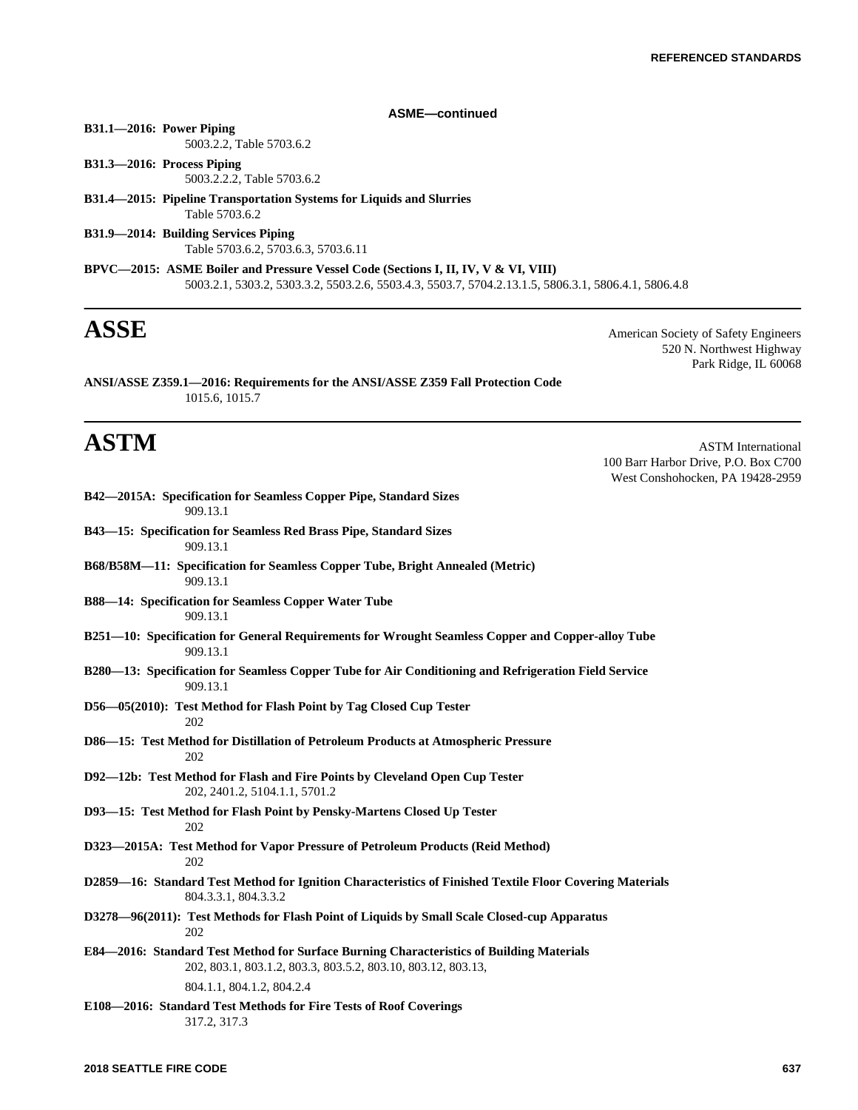# **ASME—continued**

# **B31.1—2016: Power Piping**

5003.2.2, Table 5703.6.2

- **B31.3—2016: Process Piping** 5003.2.2.2, Table 5703.6.2
- **B31.4—2015: Pipeline Transportation Systems for Liquids and Slurries** Table 5703.6.2

**B42—2015A: Specification for Seamless Copper Pipe, Standard Sizes**

- **B31.9—2014: Building Services Piping** Table 5703.6.2, 5703.6.3, 5703.6.11
- **BPVC—2015: ASME Boiler and Pressure Vessel Code (Sections I, II, IV, V & VI, VIII)** 5003.2.1, 5303.2, 5303.3.2, 5503.2.6, 5503.4.3, 5503.7, 5704.2.13.1.5, 5806.3.1, 5806.4.1, 5806.4.8

**ASSE** American Society of Safety Engineers 520 N. Northwest Highway Park Ridge, IL 60068

**ANSI/ASSE Z359.1—2016: Requirements for the ANSI/ASSE Z359 Fall Protection Code** 1015.6, 1015.7

**ASTM** ASTM International 100 Barr Harbor Drive, P.O. Box C700 West Conshohocken, PA 19428-2959

| 909.13.1                                                                                                                                                 |
|----------------------------------------------------------------------------------------------------------------------------------------------------------|
| B43-15: Specification for Seamless Red Brass Pipe, Standard Sizes<br>909.13.1                                                                            |
| B68/B58M-11: Specification for Seamless Copper Tube, Bright Annealed (Metric)<br>909.13.1                                                                |
| <b>B88—14: Specification for Seamless Copper Water Tube</b><br>909.13.1                                                                                  |
| B251-10: Specification for General Requirements for Wrought Seamless Copper and Copper-alloy Tube<br>909.13.1                                            |
| B280-13: Specification for Seamless Copper Tube for Air Conditioning and Refrigeration Field Service<br>909.13.1                                         |
| D56—05(2010): Test Method for Flash Point by Tag Closed Cup Tester<br>202                                                                                |
| D86-15: Test Method for Distillation of Petroleum Products at Atmospheric Pressure<br>202                                                                |
| D92-12b: Test Method for Flash and Fire Points by Cleveland Open Cup Tester<br>202, 2401.2, 5104.1.1, 5701.2                                             |
| D93-15: Test Method for Flash Point by Pensky-Martens Closed Up Tester<br>202                                                                            |
| D323—2015A: Test Method for Vapor Pressure of Petroleum Products (Reid Method)<br>202                                                                    |
| D2859-16: Standard Test Method for Ignition Characteristics of Finished Textile Floor Covering Materials<br>804.3.3.1, 804.3.3.2                         |
| D3278—96(2011): Test Methods for Flash Point of Liquids by Small Scale Closed-cup Apparatus<br>202                                                       |
| E84-2016: Standard Test Method for Surface Burning Characteristics of Building Materials<br>202, 803.1, 803.1.2, 803.3, 803.5.2, 803.10, 803.12, 803.13, |
| 804.1.1, 804.1.2, 804.2.4                                                                                                                                |
| E108-2016: Standard Test Methods for Fire Tests of Roof Coverings<br>317.2, 317.3                                                                        |
|                                                                                                                                                          |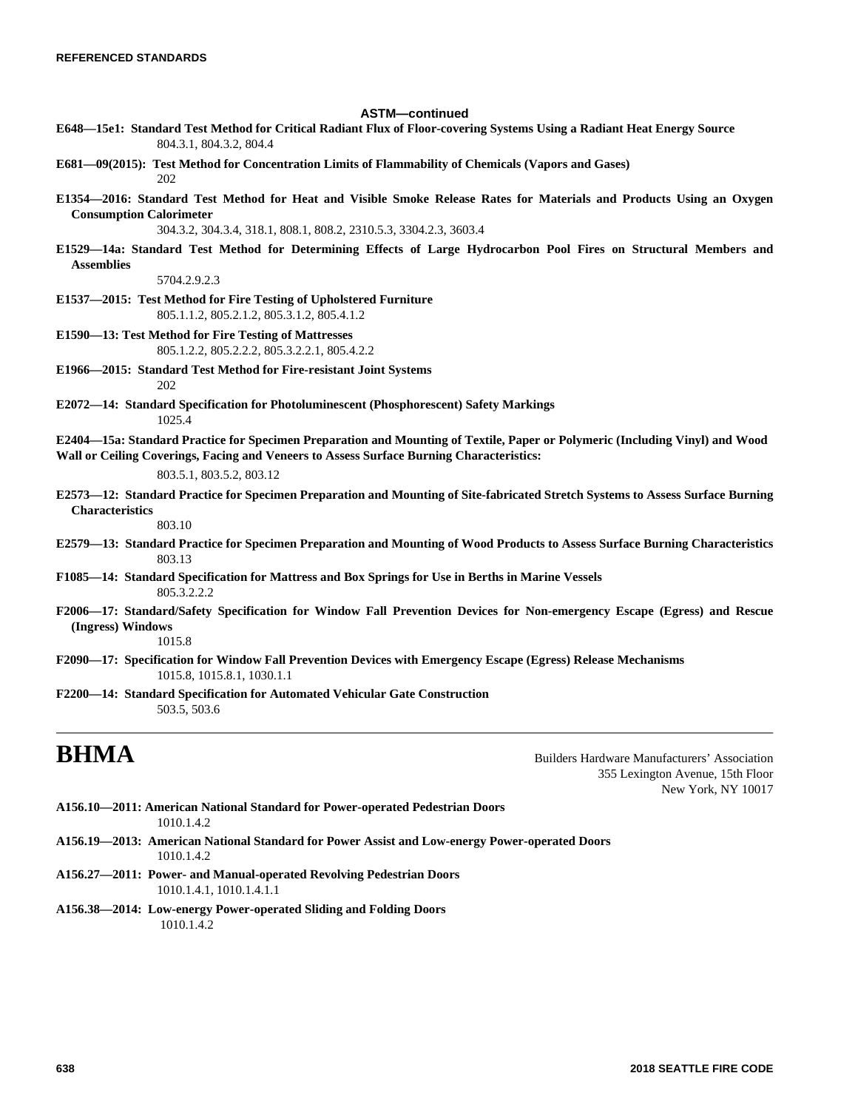### **ASTM—continued**

- **E648—15e1: Standard Test Method for Critical Radiant Flux of Floor-covering Systems Using a Radiant Heat Energy Source** 804.3.1, 804.3.2, 804.4
- **E681—09(2015): Test Method for Concentration Limits of Flammability of Chemicals (Vapors and Gases)** 202
- **E1354—2016: Standard Test Method for Heat and Visible Smoke Release Rates for Materials and Products Using an Oxygen Consumption Calorimeter**

304.3.2, 304.3.4, 318.1, 808.1, 808.2, 2310.5.3, 3304.2.3, 3603.4

**E1529—14a: Standard Test Method for Determining Effects of Large Hydrocarbon Pool Fires on Structural Members and Assemblies**

5704.2.9.2.3

- **E1537—2015: Test Method for Fire Testing of Upholstered Furniture** 805.1.1.2, 805.2.1.2, 805.3.1.2, 805.4.1.2
- **E1590—13: Test Method for Fire Testing of Mattresses** 805.1.2.2, 805.2.2.2, 805.3.2.2.1, 805.4.2.2
- **E1966—2015: Standard Test Method for Fire-resistant Joint Systems** 202
- **E2072—14: Standard Specification for Photoluminescent (Phosphorescent) Safety Markings** 1025.4
- **E2404—15a: Standard Practice for Specimen Preparation and Mounting of Textile, Paper or Polymeric (Including Vinyl) and Wood Wall or Ceiling Coverings, Facing and Veneers to Assess Surface Burning Characteristics:**

803.5.1, 803.5.2, 803.12

**E2573—12: Standard Practice for Specimen Preparation and Mounting of Site-fabricated Stretch Systems to Assess Surface Burning Characteristics**

### 803.10

- **E2579—13: Standard Practice for Specimen Preparation and Mounting of Wood Products to Assess Surface Burning Characteristics** 803.13
- **F1085—14: Standard Specification for Mattress and Box Springs for Use in Berths in Marine Vessels** 805.3.2.2.2
- **F2006—17: Standard/Safety Specification for Window Fall Prevention Devices for Non-emergency Escape (Egress) and Rescue (Ingress) Windows**

1015.8

- **F2090—17: Specification for Window Fall Prevention Devices with Emergency Escape (Egress) Release Mechanisms** 1015.8, 1015.8.1, 1030.1.1
- **F2200—14: Standard Specification for Automated Vehicular Gate Construction** 503.5, 503.6

**BHMA** Builders Hardware Manufacturers' Association 355 Lexington Avenue, 15th Floor New York, NY 10017

- **A156.10—2011: American National Standard for Power-operated Pedestrian Doors** 1010.1.4.2
- **A156.19—2013: American National Standard for Power Assist and Low-energy Power-operated Doors** 1010.1.4.2
- **A156.27—2011: Power- and Manual-operated Revolving Pedestrian Doors** 1010.1.4.1, 1010.1.4.1.1
- **A156.38—2014: Low-energy Power-operated Sliding and Folding Doors** 1010.1.4.2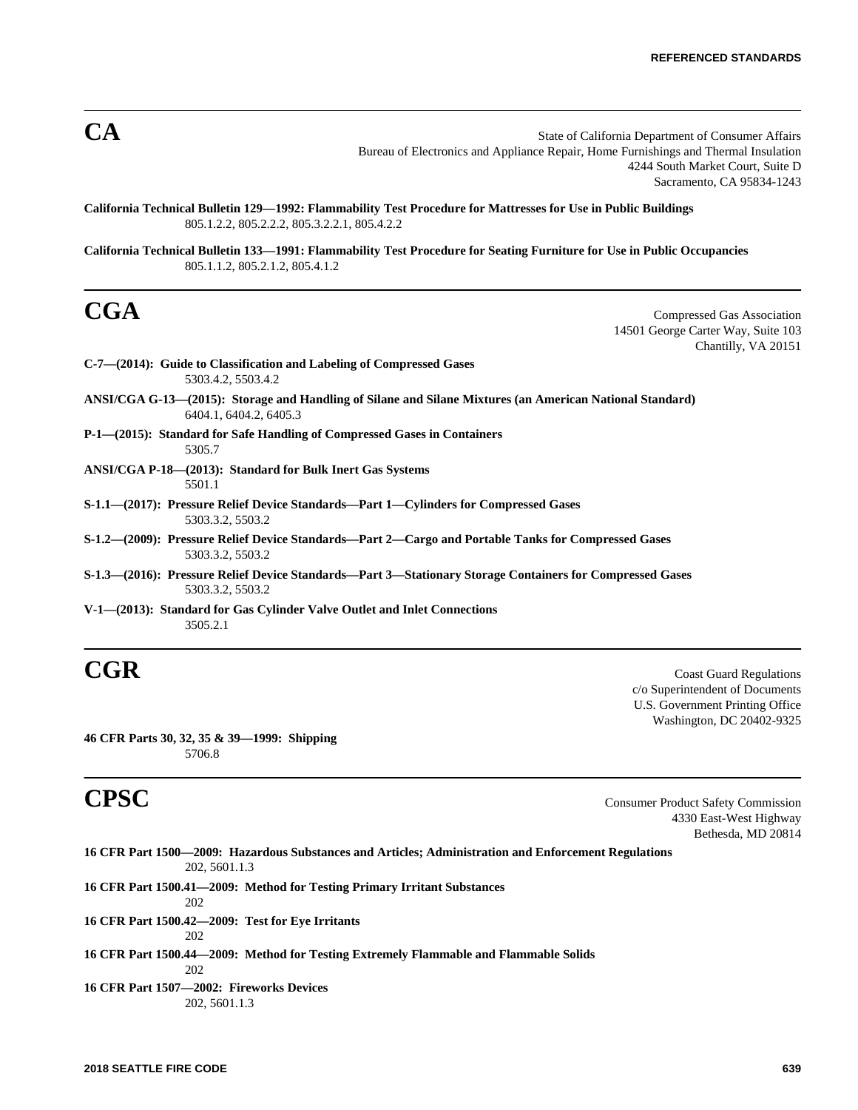**CA** State of California Department of Consumer Affairs Bureau of Electronics and Appliance Repair, Home Furnishings and Thermal Insulation 4244 South Market Court, Suite D Sacramento, CA 95834-1243

**California Technical Bulletin 129—1992: Flammability Test Procedure for Mattresses for Use in Public Buildings** 805.1.2.2, 805.2.2.2, 805.3.2.2.1, 805.4.2.2

**California Technical Bulletin 133—1991: Flammability Test Procedure for Seating Furniture for Use in Public Occupancies** 805.1.1.2, 805.2.1.2, 805.4.1.2

**CGA** Compressed Gas Association 14501 George Carter Way, Suite 103 Chantilly, VA 20151

| C-7—(2014): Guide to Classification and Labeling of Compressed Gases<br>5303.4.2, 5503.4.2                                         |
|------------------------------------------------------------------------------------------------------------------------------------|
| ANSI/CGA G-13—(2015): Storage and Handling of Silane and Silane Mixtures (an American National Standard)<br>6404.1, 6404.2, 6405.3 |
| P-1—(2015): Standard for Safe Handling of Compressed Gases in Containers<br>5305.7                                                 |
| ANSI/CGA P-18—(2013): Standard for Bulk Inert Gas Systems<br>5501.1                                                                |
| S-1.1—(2017): Pressure Relief Device Standards—Part 1—Cylinders for Compressed Gases<br>5303.3.2, 5503.2                           |
| S-1.2—(2009): Pressure Relief Device Standards—Part 2—Cargo and Portable Tanks for Compressed Gases<br>5303.3.2, 5503.2            |
| S-1.3—(2016): Pressure Relief Device Standards—Part 3—Stationary Storage Containers for Compressed Gases<br>5303.3.2, 5503.2       |

**V-1—(2013): Standard for Gas Cylinder Valve Outlet and Inlet Connections** 3505.2.1

**CGR** Coast Guard Regulations c/o Superintendent of Documents U.S. Government Printing Office Washington, DC 20402-9325

**46 CFR Parts 30, 32, 35 & 39—1999: Shipping** 5706.8

**CPSC** Consumer Product Safety Commission 4330 East-West Highway Bethesda, MD 20814

| 16 CFR Part 1500—2009: Hazardous Substances and Articles; Administration and Enforcement Regulations<br>202, 5601.1.3 |
|-----------------------------------------------------------------------------------------------------------------------|
|                                                                                                                       |
| 16 CFR Part 1500.41—2009: Method for Testing Primary Irritant Substances                                              |
| 202                                                                                                                   |
| 16 CFR Part 1500.42–2009: Test for Eve Irritants                                                                      |
| 202                                                                                                                   |
| 16 CFR Part 1500.44—2009: Method for Testing Extremely Flammable and Flammable Solids                                 |
| 202                                                                                                                   |
| 16 CFR Part 1507—2002: Fireworks Devices                                                                              |
| 202, 5601.1.3                                                                                                         |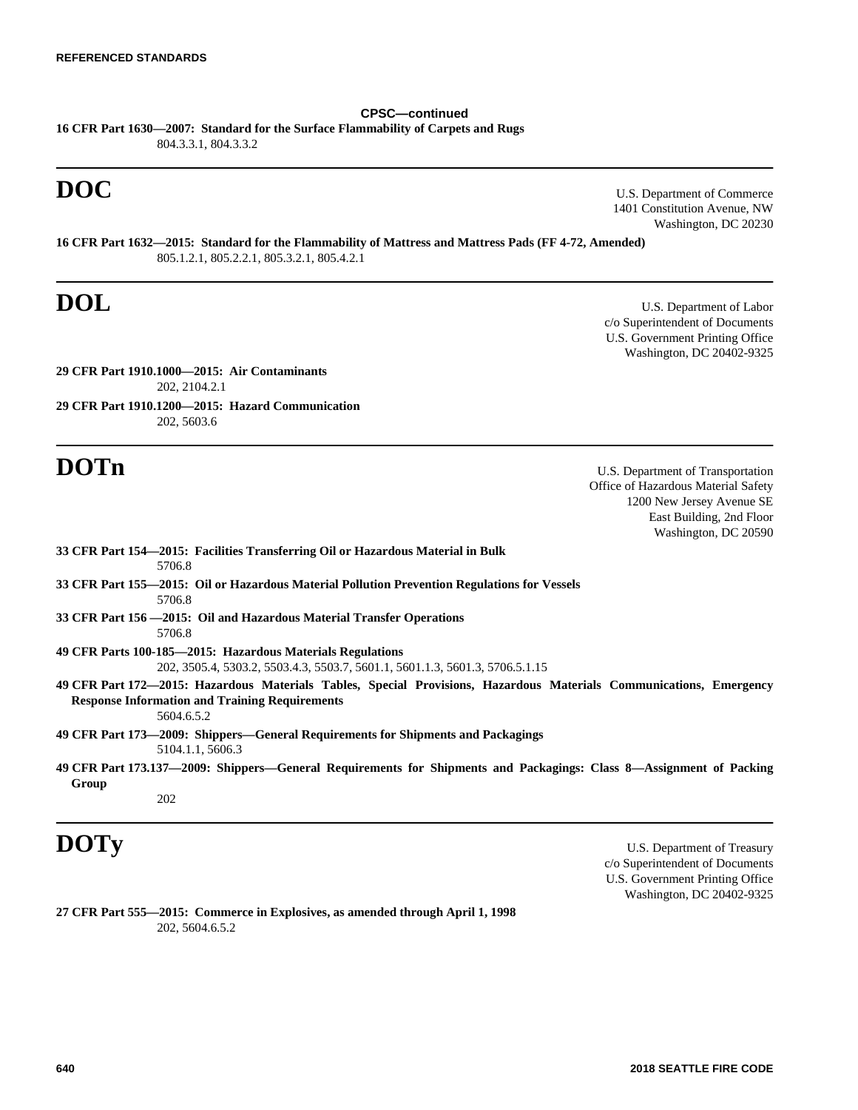# **CPSC—continued**

**16 CFR Part 1630—2007: Standard for the Surface Flammability of Carpets and Rugs** 804.3.3.1, 804.3.3.2

**DOC** U.S. Department of Commerce 1401 Constitution Avenue, NW Washington, DC 20230

**16 CFR Part 1632—2015: Standard for the Flammability of Mattress and Mattress Pads (FF 4-72, Amended)** 805.1.2.1, 805.2.2.1, 805.3.2.1, 805.4.2.1

**DOL** U.S. Department of Labor c/o Superintendent of Documents U.S. Government Printing Office Washington, DC 20402-9325

**29 CFR Part 1910.1000—2015: Air Contaminants** 202, 2104.2.1

**29 CFR Part 1910.1200—2015: Hazard Communication** 202, 5603.6

**DOTn** U.S. Department of Transportation Office of Hazardous Material Safety 1200 New Jersey Avenue SE East Building, 2nd Floor Washington, DC 20590

| 33 CFR Part 154—2015: Facilities Transferring Oil or Hazardous Material in Bulk<br>5706.8                                                                                                  |
|--------------------------------------------------------------------------------------------------------------------------------------------------------------------------------------------|
| 33 CFR Part 155—2015: Oil or Hazardous Material Pollution Prevention Regulations for Vessels<br>5706.8                                                                                     |
| 33 CFR Part 156 - 2015: Oil and Hazardous Material Transfer Operations<br>5706.8                                                                                                           |
| 49 CFR Parts 100-185—2015: Hazardous Materials Regulations<br>202, 3505.4, 5303.2, 5503.4.3, 5503.7, 5601.1, 5601.1.3, 5601.3, 5706.5.1.15                                                 |
| 49 CFR Part 172—2015: Hazardous Materials Tables, Special Provisions, Hazardous Materials Communications, Emergency<br><b>Response Information and Training Requirements</b><br>5604.6.5.2 |
| 49 CFR Part 173—2009: Shippers—General Requirements for Shipments and Packagings<br>5104.1.1, 5606.3                                                                                       |

**49 CFR Part 173.137—2009: Shippers—General Requirements for Shipments and Packagings: Class 8—Assignment of Packing Group**

202

**DOTy** U.S. Department of Treasury c/o Superintendent of Documents U.S. Government Printing Office Washington, DC 20402-9325

**27 CFR Part 555—2015: Commerce in Explosives, as amended through April 1, 1998** 202, 5604.6.5.2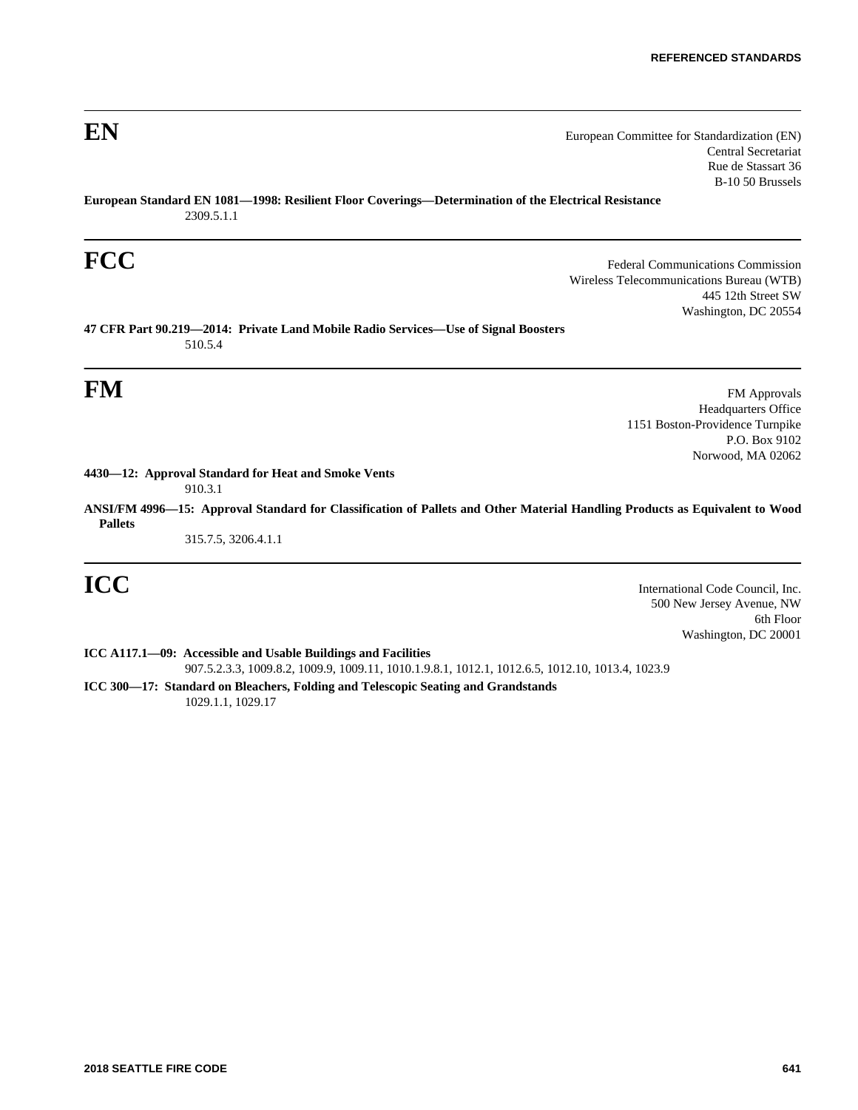**EN** European Committee for Standardization (EN) Central Secretariat Rue de Stassart 36 B-10 50 Brussels

**European Standard EN 1081—1998: Resilient Floor Coverings—Determination of the Electrical Resistance** 2309.5.1.1

**FCC** Federal Communications Commission Wireless Telecommunications Bureau (WTB) 445 12th Street SW Washington, DC 20554

**47 CFR Part 90.219—2014: Private Land Mobile Radio Services—Use of Signal Boosters** 510.5.4

**FM** FM Approvals Headquarters Office 1151 Boston-Providence Turnpike P.O. Box 9102 Norwood, MA 02062

**4430—12: Approval Standard for Heat and Smoke Vents** 910.3.1

**ANSI/FM 4996—15: Approval Standard for Classification of Pallets and Other Material Handling Products as Equivalent to Wood Pallets**

315.7.5, 3206.4.1.1

**ICC** International Code Council, Inc. 500 New Jersey Avenue, NW 6th Floor Washington, DC 20001

**ICC A117.1—09: Accessible and Usable Buildings and Facilities** 907.5.2.3.3, 1009.8.2, 1009.9, 1009.11, 1010.1.9.8.1, 1012.1, 1012.6.5, 1012.10, 1013.4, 1023.9

**ICC 300—17: Standard on Bleachers, Folding and Telescopic Seating and Grandstands** 1029.1.1, 1029.17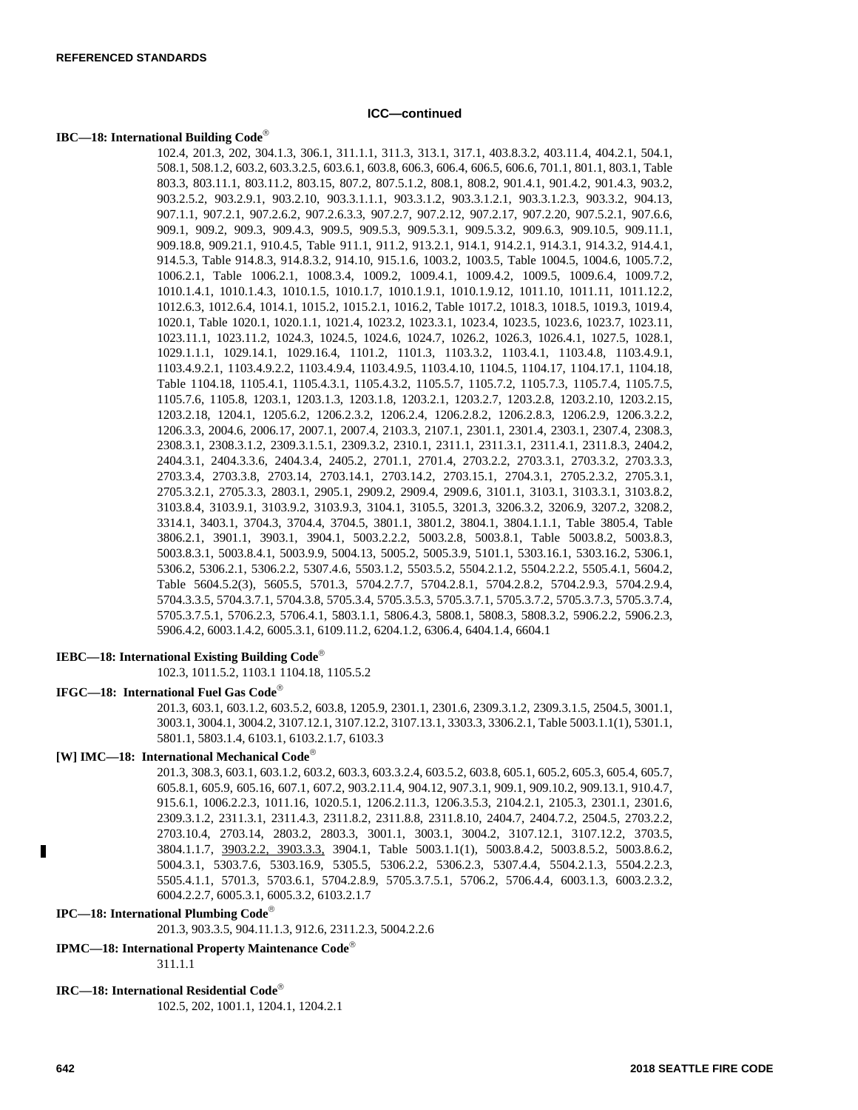# **ICC—continued**

# **IBC—18: International Building Code**

102.4, 201.3, 202, 304.1.3, 306.1, 311.1.1, 311.3, 313.1, 317.1, 403.8.3.2, 403.11.4, 404.2.1, 504.1, 508.1, 508.1.2, 603.2, 603.3.2.5, 603.6.1, 603.8, 606.3, 606.4, 606.5, 606.6, 701.1, 801.1, 803.1, Table 803.3, 803.11.1, 803.11.2, 803.15, 807.2, 807.5.1.2, 808.1, 808.2, 901.4.1, 901.4.2, 901.4.3, 903.2, 903.2.5.2, 903.2.9.1, 903.2.10, 903.3.1.1.1, 903.3.1.2, 903.3.1.2.1, 903.3.1.2.3, 903.3.2, 904.13, 907.1.1, 907.2.1, 907.2.6.2, 907.2.6.3.3, 907.2.7, 907.2.12, 907.2.17, 907.2.20, 907.5.2.1, 907.6.6, 909.1, 909.2, 909.3, 909.4.3, 909.5, 909.5.3, 909.5.3.1, 909.5.3.2, 909.6.3, 909.10.5, 909.11.1, 909.18.8, 909.21.1, 910.4.5, Table 911.1, 911.2, 913.2.1, 914.1, 914.2.1, 914.3.1, 914.3.2, 914.4.1, 914.5.3, Table 914.8.3, 914.8.3.2, 914.10, 915.1.6, 1003.2, 1003.5, Table 1004.5, 1004.6, 1005.7.2, 1006.2.1, Table 1006.2.1, 1008.3.4, 1009.2, 1009.4.1, 1009.4.2, 1009.5, 1009.6.4, 1009.7.2, 1010.1.4.1, 1010.1.4.3, 1010.1.5, 1010.1.7, 1010.1.9.1, 1010.1.9.12, 1011.10, 1011.11, 1011.12.2, 1012.6.3, 1012.6.4, 1014.1, 1015.2, 1015.2.1, 1016.2, Table 1017.2, 1018.3, 1018.5, 1019.3, 1019.4, 1020.1, Table 1020.1, 1020.1.1, 1021.4, 1023.2, 1023.3.1, 1023.4, 1023.5, 1023.6, 1023.7, 1023.11, 1023.11.1, 1023.11.2, 1024.3, 1024.5, 1024.6, 1024.7, 1026.2, 1026.3, 1026.4.1, 1027.5, 1028.1, 1029.1.1.1, 1029.14.1, 1029.16.4, 1101.2, 1101.3, 1103.3.2, 1103.4.1, 1103.4.8, 1103.4.9.1, 1103.4.9.2.1, 1103.4.9.2.2, 1103.4.9.4, 1103.4.9.5, 1103.4.10, 1104.5, 1104.17, 1104.17.1, 1104.18, Table 1104.18, 1105.4.1, 1105.4.3.1, 1105.4.3.2, 1105.5.7, 1105.7.2, 1105.7.3, 1105.7.4, 1105.7.5, 1105.7.6, 1105.8, 1203.1, 1203.1.3, 1203.1.8, 1203.2.1, 1203.2.7, 1203.2.8, 1203.2.10, 1203.2.15, 1203.2.18, 1204.1, 1205.6.2, 1206.2.3.2, 1206.2.4, 1206.2.8.2, 1206.2.8.3, 1206.2.9, 1206.3.2.2, 1206.3.3, 2004.6, 2006.17, 2007.1, 2007.4, 2103.3, 2107.1, 2301.1, 2301.4, 2303.1, 2307.4, 2308.3, 2308.3.1, 2308.3.1.2, 2309.3.1.5.1, 2309.3.2, 2310.1, 2311.1, 2311.3.1, 2311.4.1, 2311.8.3, 2404.2, 2404.3.1, 2404.3.3.6, 2404.3.4, 2405.2, 2701.1, 2701.4, 2703.2.2, 2703.3.1, 2703.3.2, 2703.3.3, 2703.3.4, 2703.3.8, 2703.14, 2703.14.1, 2703.14.2, 2703.15.1, 2704.3.1, 2705.2.3.2, 2705.3.1, 2705.3.2.1, 2705.3.3, 2803.1, 2905.1, 2909.2, 2909.4, 2909.6, 3101.1, 3103.1, 3103.3.1, 3103.8.2, 3103.8.4, 3103.9.1, 3103.9.2, 3103.9.3, 3104.1, 3105.5, 3201.3, 3206.3.2, 3206.9, 3207.2, 3208.2, 3314.1, 3403.1, 3704.3, 3704.4, 3704.5, 3801.1, 3801.2, 3804.1, 3804.1.1.1, Table 3805.4, Table 3806.2.1, 3901.1, 3903.1, 3904.1, 5003.2.2.2, 5003.2.8, 5003.8.1, Table 5003.8.2, 5003.8.3, 5003.8.3.1, 5003.8.4.1, 5003.9.9, 5004.13, 5005.2, 5005.3.9, 5101.1, 5303.16.1, 5303.16.2, 5306.1, 5306.2, 5306.2.1, 5306.2.2, 5307.4.6, 5503.1.2, 5503.5.2, 5504.2.1.2, 5504.2.2.2, 5505.4.1, 5604.2, Table 5604.5.2(3), 5605.5, 5701.3, 5704.2.7.7, 5704.2.8.1, 5704.2.8.2, 5704.2.9.3, 5704.2.9.4, 5704.3.3.5, 5704.3.7.1, 5704.3.8, 5705.3.4, 5705.3.5.3, 5705.3.7.1, 5705.3.7.2, 5705.3.7.3, 5705.3.7.4, 5705.3.7.5.1, 5706.2.3, 5706.4.1, 5803.1.1, 5806.4.3, 5808.1, 5808.3, 5808.3.2, 5906.2.2, 5906.2.3, 5906.4.2, 6003.1.4.2, 6005.3.1, 6109.11.2, 6204.1.2, 6306.4, 6404.1.4, 6604.1

### **IEBC—18: International Existing Building Code**

102.3, 1011.5.2, 1103.1 1104.18, 1105.5.2

# **IFGC—18: International Fuel Gas Code**

201.3, 603.1, 603.1.2, 603.5.2, 603.8, 1205.9, 2301.1, 2301.6, 2309.3.1.2, 2309.3.1.5, 2504.5, 3001.1, 3003.1, 3004.1, 3004.2, 3107.12.1, 3107.12.2, 3107.13.1, 3303.3, 3306.2.1, Table 5003.1.1(1), 5301.1, 5801.1, 5803.1.4, 6103.1, 6103.2.1.7, 6103.3

# **[W] IMC—18: International Mechanical Code**

201.3, 308.3, 603.1, 603.1.2, 603.2, 603.3, 603.3.2.4, 603.5.2, 603.8, 605.1, 605.2, 605.3, 605.4, 605.7, 605.8.1, 605.9, 605.16, 607.1, 607.2, 903.2.11.4, 904.12, 907.3.1, 909.1, 909.10.2, 909.13.1, 910.4.7, 915.6.1, 1006.2.2.3, 1011.16, 1020.5.1, 1206.2.11.3, 1206.3.5.3, 2104.2.1, 2105.3, 2301.1, 2301.6, 2309.3.1.2, 2311.3.1, 2311.4.3, 2311.8.2, 2311.8.8, 2311.8.10, 2404.7, 2404.7.2, 2504.5, 2703.2.2, 2703.10.4, 2703.14, 2803.2, 2803.3, 3001.1, 3003.1, 3004.2, 3107.12.1, 3107.12.2, 3703.5, 3804.1.1.7, 3903.2.2, 3903.3.3, 3904.1, Table 5003.1.1(1), 5003.8.4.2, 5003.8.5.2, 5003.8.6.2, 5004.3.1, 5303.7.6, 5303.16.9, 5305.5, 5306.2.2, 5306.2.3, 5307.4.4, 5504.2.1.3, 5504.2.2.3, 5505.4.1.1, 5701.3, 5703.6.1, 5704.2.8.9, 5705.3.7.5.1, 5706.2, 5706.4.4, 6003.1.3, 6003.2.3.2, 6004.2.2.7, 6005.3.1, 6005.3.2, 6103.2.1.7

### **IPC—18: International Plumbing Code**

201.3, 903.3.5, 904.11.1.3, 912.6, 2311.2.3, 5004.2.2.6

# **IPMC—18: International Property Maintenance Code**

311.1.1

# **IRC—18: International Residential Code**

102.5, 202, 1001.1, 1204.1, 1204.2.1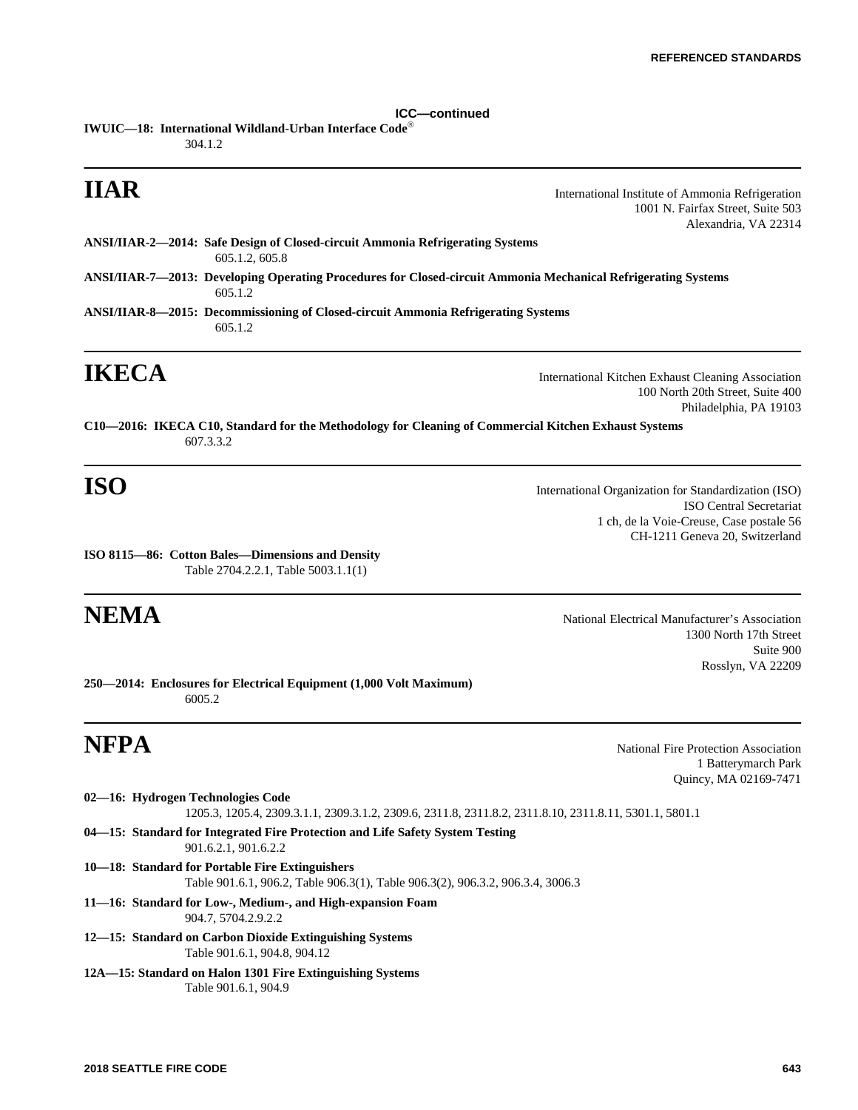**ICC—continued IWUIC—18: International Wildland-Urban Interface Code** 304.1.2

**IIAR** International Institute of Ammonia Refrigeration 1001 N. Fairfax Street, Suite 503 Alexandria, VA 22314

**ANSI/IIAR-2—2014: Safe Design of Closed-circuit Ammonia Refrigerating Systems** 605.1.2, 605.8

**ANSI/IIAR-7—2013: Developing Operating Procedures for Closed-circuit Ammonia Mechanical Refrigerating Systems** 605.1.2

**ANSI/IIAR-8—2015: Decommissioning of Closed-circuit Ammonia Refrigerating Systems**  605.1.2

**IKECA** International Kitchen Exhaust Cleaning Association 100 North 20th Street, Suite 400 Philadelphia, PA 19103

**C10—2016: IKECA C10, Standard for the Methodology for Cleaning of Commercial Kitchen Exhaust Systems** 607.3.3.2

**ISO** International Organization for Standardization (ISO) ISO Central Secretariat 1 ch, de la Voie-Creuse, Case postale 56 CH-1211 Geneva 20, Switzerland

**ISO 8115—86: Cotton Bales—Dimensions and Density** Table 2704.2.2.1, Table 5003.1.1(1)

**NEMA** National Electrical Manufacturer's Association 1300 North 17th Street Suite 900 Rosslyn, VA 22209

**250—2014: Enclosures for Electrical Equipment (1,000 Volt Maximum)** 6005.2

**NFPA** National Fire Protection Association 1 Batterymarch Park Quincy, MA 02169-7471

- **02—16: Hydrogen Technologies Code** 1205.3, 1205.4, 2309.3.1.1, 2309.3.1.2, 2309.6, 2311.8, 2311.8.2, 2311.8.10, 2311.8.11, 5301.1, 5801.1 **04—15: Standard for Integrated Fire Protection and Life Safety System Testing** 901.6.2.1, 901.6.2.2
- **10—18: Standard for Portable Fire Extinguishers** Table 901.6.1, 906.2, Table 906.3(1), Table 906.3(2), 906.3.2, 906.3.4, 3006.3
- **11—16: Standard for Low-, Medium-, and High-expansion Foam** 904.7, 5704.2.9.2.2
- **12—15: Standard on Carbon Dioxide Extinguishing Systems** Table 901.6.1, 904.8, 904.12
- **12A—15: Standard on Halon 1301 Fire Extinguishing Systems** Table 901.6.1, 904.9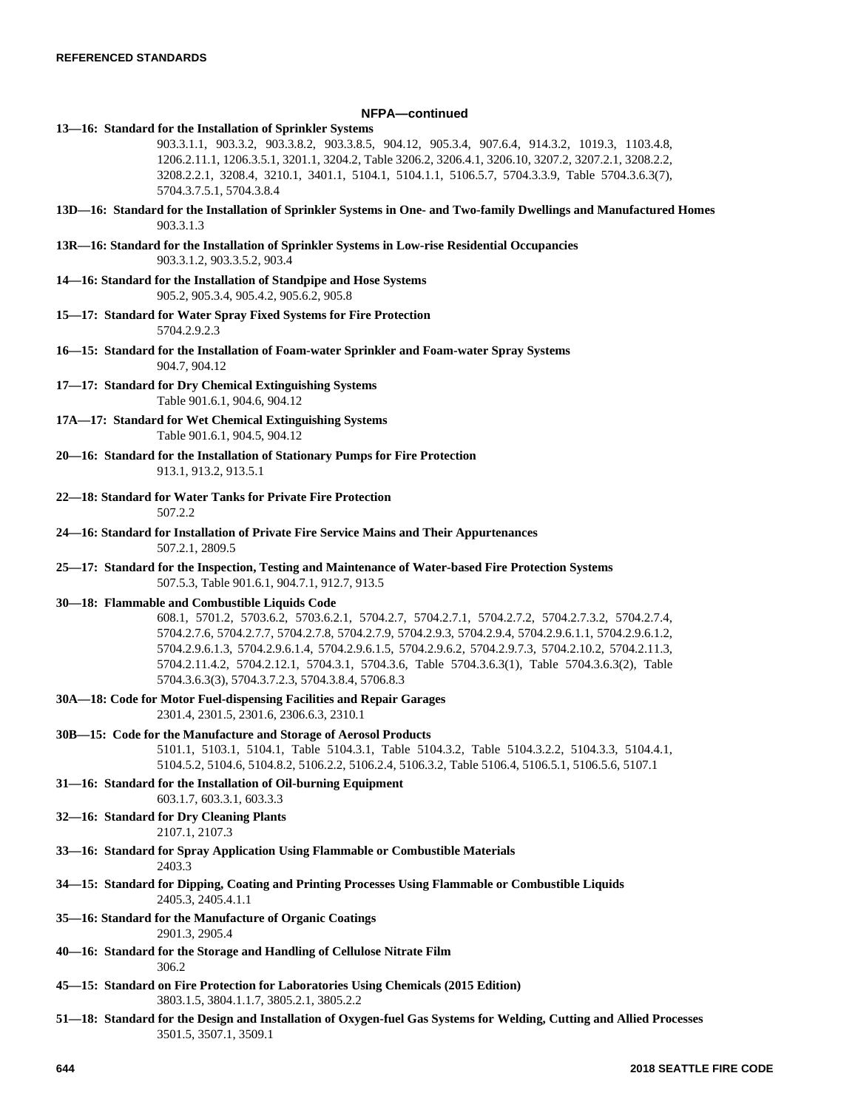## **NFPA—continued**

- **13—16: Standard for the Installation of Sprinkler Systems**
	- 903.3.1.1, 903.3.2, 903.3.8.2, 903.3.8.5, 904.12, 905.3.4, 907.6.4, 914.3.2, 1019.3, 1103.4.8, 1206.2.11.1, 1206.3.5.1, 3201.1, 3204.2, Table 3206.2, 3206.4.1, 3206.10, 3207.2, 3207.2.1, 3208.2.2, 3208.2.2.1, 3208.4, 3210.1, 3401.1, 5104.1, 5104.1.1, 5106.5.7, 5704.3.3.9, Table 5704.3.6.3(7), 5704.3.7.5.1, 5704.3.8.4
- **13D—16: Standard for the Installation of Sprinkler Systems in One- and Two-family Dwellings and Manufactured Homes** 903.3.1.3
- **13R—16: Standard for the Installation of Sprinkler Systems in Low-rise Residential Occupancies** 903.3.1.2, 903.3.5.2, 903.4
- **14—16: Standard for the Installation of Standpipe and Hose Systems** 905.2, 905.3.4, 905.4.2, 905.6.2, 905.8
- **15—17: Standard for Water Spray Fixed Systems for Fire Protection** 5704.2.9.2.3
- **16—15: Standard for the Installation of Foam-water Sprinkler and Foam-water Spray Systems** 904.7, 904.12
- **17—17: Standard for Dry Chemical Extinguishing Systems** Table 901.6.1, 904.6, 904.12
- **17A—17: Standard for Wet Chemical Extinguishing Systems** Table 901.6.1, 904.5, 904.12
- **20—16: Standard for the Installation of Stationary Pumps for Fire Protection** 913.1, 913.2, 913.5.1
- **22—18: Standard for Water Tanks for Private Fire Protection** 507.2.2
- **24—16: Standard for Installation of Private Fire Service Mains and Their Appurtenances** 507.2.1, 2809.5
- **25—17: Standard for the Inspection, Testing and Maintenance of Water-based Fire Protection Systems** 507.5.3, Table 901.6.1, 904.7.1, 912.7, 913.5

### **30—18: Flammable and Combustible Liquids Code**

- 608.1, 5701.2, 5703.6.2, 5703.6.2.1, 5704.2.7, 5704.2.7.1, 5704.2.7.2, 5704.2.7.3.2, 5704.2.7.4, 5704.2.7.6, 5704.2.7.7, 5704.2.7.8, 5704.2.7.9, 5704.2.9.3, 5704.2.9.4, 5704.2.9.6.1.1, 5704.2.9.6.1.2, 5704.2.9.6.1.3, 5704.2.9.6.1.4, 5704.2.9.6.1.5, 5704.2.9.6.2, 5704.2.9.7.3, 5704.2.10.2, 5704.2.11.3, 5704.2.11.4.2, 5704.2.12.1, 5704.3.1, 5704.3.6, Table 5704.3.6.3(1), Table 5704.3.6.3(2), Table 5704.3.6.3(3), 5704.3.7.2.3, 5704.3.8.4, 5706.8.3
- **30A—18: Code for Motor Fuel-dispensing Facilities and Repair Garages**

2301.4, 2301.5, 2301.6, 2306.6.3, 2310.1

**30B—15: Code for the Manufacture and Storage of Aerosol Products**

5101.1, 5103.1, 5104.1, Table 5104.3.1, Table 5104.3.2, Table 5104.3.2.2, 5104.3.3, 5104.4.1, 5104.5.2, 5104.6, 5104.8.2, 5106.2.2, 5106.2.4, 5106.3.2, Table 5106.4, 5106.5.1, 5106.5.6, 5107.1

- **31—16: Standard for the Installation of Oil-burning Equipment**
- 603.1.7, 603.3.1, 603.3.3 **32—16: Standard for Dry Cleaning Plants**

2107.1, 2107.3

- **33—16: Standard for Spray Application Using Flammable or Combustible Materials** 2403.3
- **34—15: Standard for Dipping, Coating and Printing Processes Using Flammable or Combustible Liquids** 2405.3, 2405.4.1.1
- **35—16: Standard for the Manufacture of Organic Coatings** 2901.3, 2905.4
- **40—16: Standard for the Storage and Handling of Cellulose Nitrate Film** 306.2
- **45—15: Standard on Fire Protection for Laboratories Using Chemicals (2015 Edition)** 3803.1.5, 3804.1.1.7, 3805.2.1, 3805.2.2
- **51—18: Standard for the Design and Installation of Oxygen-fuel Gas Systems for Welding, Cutting and Allied Processes** 3501.5, 3507.1, 3509.1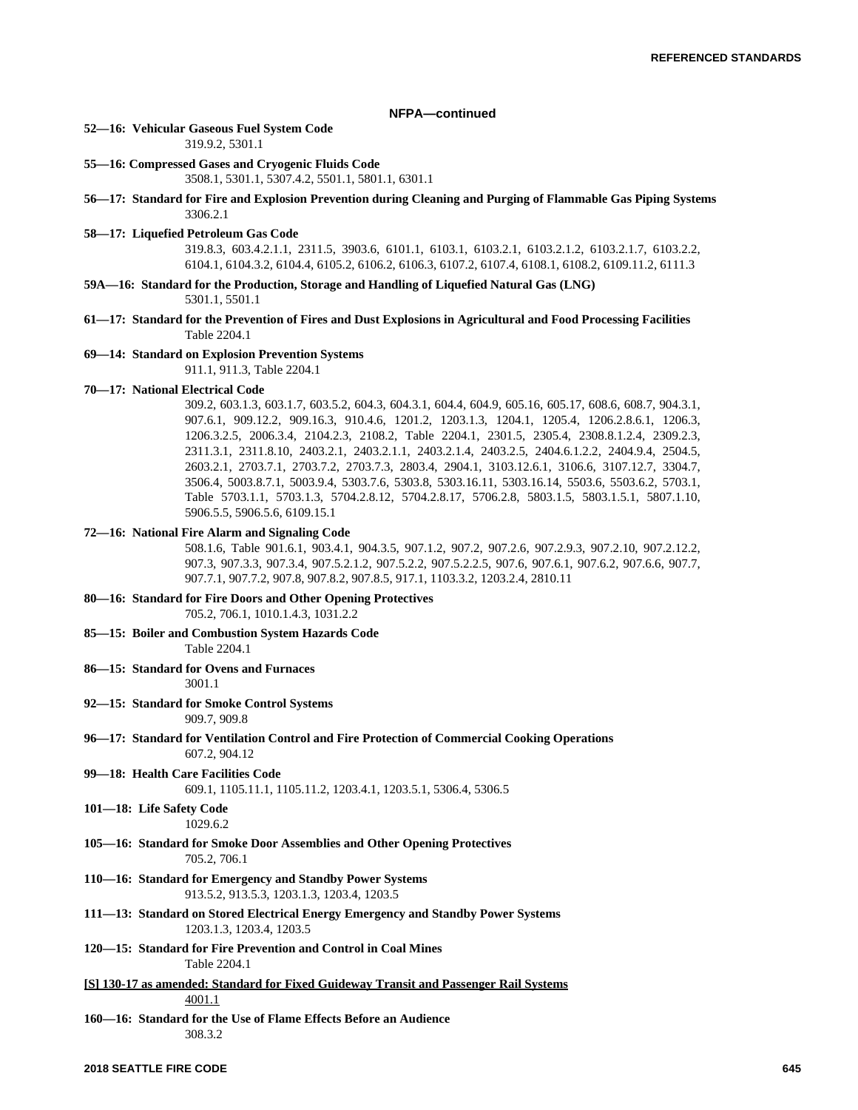## **NFPA—continued**

### **52—16: Vehicular Gaseous Fuel System Code**

319.9.2, 5301.1

**55—16: Compressed Gases and Cryogenic Fluids Code**

3508.1, 5301.1, 5307.4.2, 5501.1, 5801.1, 6301.1

# **56—17: Standard for Fire and Explosion Prevention during Cleaning and Purging of Flammable Gas Piping Systems** 3306.2.1

### **58—17: Liquefied Petroleum Gas Code**

319.8.3, 603.4.2.1.1, 2311.5, 3903.6, 6101.1, 6103.1, 6103.2.1, 6103.2.1.2, 6103.2.1.7, 6103.2.2, 6104.1, 6104.3.2, 6104.4, 6105.2, 6106.2, 6106.3, 6107.2, 6107.4, 6108.1, 6108.2, 6109.11.2, 6111.3

- **59A—16: Standard for the Production, Storage and Handling of Liquefied Natural Gas (LNG)** 5301.1, 5501.1
- **61—17: Standard for the Prevention of Fires and Dust Explosions in Agricultural and Food Processing Facilities** Table 2204.1

### **69—14: Standard on Explosion Prevention Systems**

911.1, 911.3, Table 2204.1

# **70—17: National Electrical Code**

309.2, 603.1.3, 603.1.7, 603.5.2, 604.3, 604.3.1, 604.4, 604.9, 605.16, 605.17, 608.6, 608.7, 904.3.1, 907.6.1, 909.12.2, 909.16.3, 910.4.6, 1201.2, 1203.1.3, 1204.1, 1205.4, 1206.2.8.6.1, 1206.3, 1206.3.2.5, 2006.3.4, 2104.2.3, 2108.2, Table 2204.1, 2301.5, 2305.4, 2308.8.1.2.4, 2309.2.3, 2311.3.1, 2311.8.10, 2403.2.1, 2403.2.1.1, 2403.2.1.4, 2403.2.5, 2404.6.1.2.2, 2404.9.4, 2504.5, 2603.2.1, 2703.7.1, 2703.7.2, 2703.7.3, 2803.4, 2904.1, 3103.12.6.1, 3106.6, 3107.12.7, 3304.7, 3506.4, 5003.8.7.1, 5003.9.4, 5303.7.6, 5303.8, 5303.16.11, 5303.16.14, 5503.6, 5503.6.2, 5703.1, Table 5703.1.1, 5703.1.3, 5704.2.8.12, 5704.2.8.17, 5706.2.8, 5803.1.5, 5803.1.5.1, 5807.1.10, 5906.5.5, 5906.5.6, 6109.15.1

### **72—16: National Fire Alarm and Signaling Code**

508.1.6, Table 901.6.1, 903.4.1, 904.3.5, 907.1.2, 907.2, 907.2.6, 907.2.9.3, 907.2.10, 907.2.12.2, 907.3, 907.3.3, 907.3.4, 907.5.2.1.2, 907.5.2.2, 907.5.2.2.5, 907.6, 907.6.1, 907.6.2, 907.6.6, 907.7, 907.7.1, 907.7.2, 907.8, 907.8.2, 907.8.5, 917.1, 1103.3.2, 1203.2.4, 2810.11

## **80—16: Standard for Fire Doors and Other Opening Protectives** 705.2, 706.1, 1010.1.4.3, 1031.2.2

- **85—15: Boiler and Combustion System Hazards Code** Table 2204.1
- **86—15: Standard for Ovens and Furnaces** 3001.1
- **92—15: Standard for Smoke Control Systems**

# 909.7, 909.8

- **96—17: Standard for Ventilation Control and Fire Protection of Commercial Cooking Operations** 607.2, 904.12
- **99—18: Health Care Facilities Code** 609.1, 1105.11.1, 1105.11.2, 1203.4.1, 1203.5.1, 5306.4, 5306.5
- **101—18: Life Safety Code** 1029.6.2
- **105—16: Standard for Smoke Door Assemblies and Other Opening Protectives** 705.2, 706.1
- **110—16: Standard for Emergency and Standby Power Systems** 913.5.2, 913.5.3, 1203.1.3, 1203.4, 1203.5
- **111—13: Standard on Stored Electrical Energy Emergency and Standby Power Systems** 1203.1.3, 1203.4, 1203.5
- **120—15: Standard for Fire Prevention and Control in Coal Mines** Table 2204.1

# **[S] 130-17 as amended: Standard for Fixed Guideway Transit and Passenger Rail Systems** 4001.1

**160—16: Standard for the Use of Flame Effects Before an Audience** 308.3.2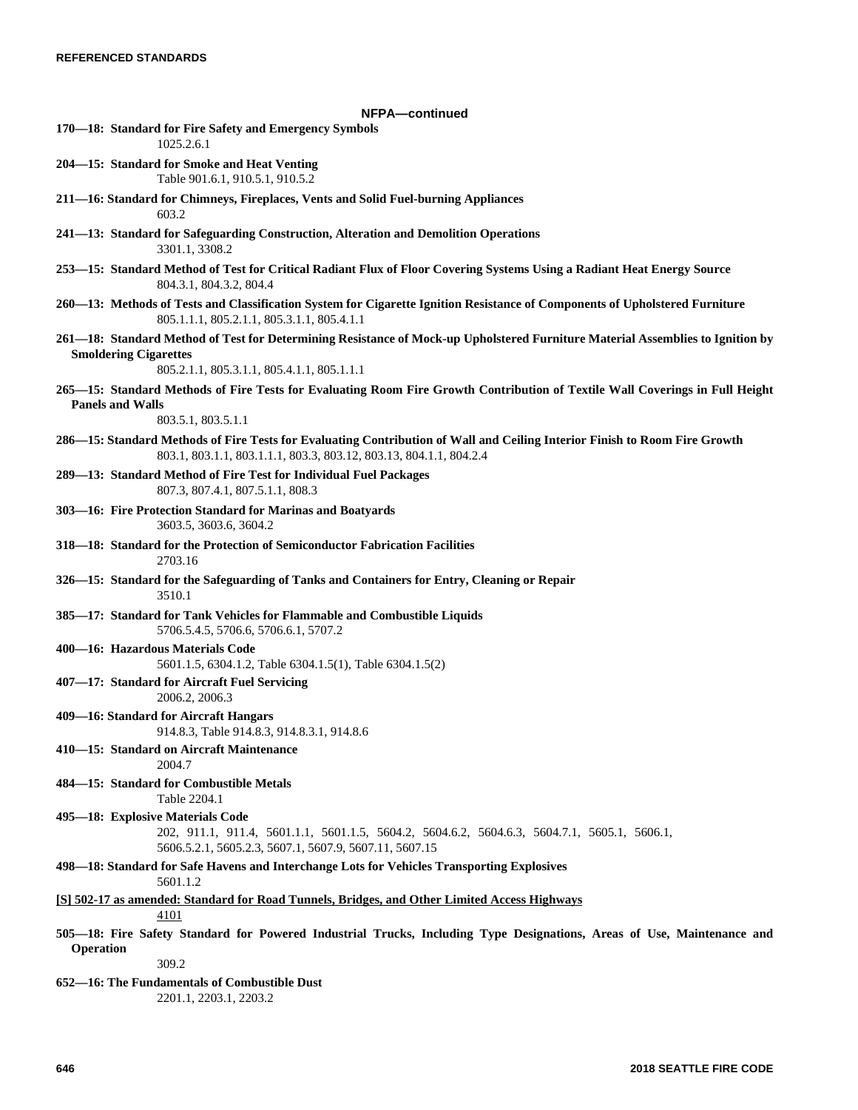# **NFPA—continued 170—18: Standard for Fire Safety and Emergency Symbols** 1025.2.6.1 **204—15: Standard for Smoke and Heat Venting** Table 901.6.1, 910.5.1, 910.5.2 **211—16: Standard for Chimneys, Fireplaces, Vents and Solid Fuel-burning Appliances** 603.2 **241—13: Standard for Safeguarding Construction, Alteration and Demolition Operations** 3301.1, 3308.2 **253—15: Standard Method of Test for Critical Radiant Flux of Floor Covering Systems Using a Radiant Heat Energy Source** 804.3.1, 804.3.2, 804.4 **260—13: Methods of Tests and Classification System for Cigarette Ignition Resistance of Components of Upholstered Furniture** 805.1.1.1, 805.2.1.1, 805.3.1.1, 805.4.1.1 **261—18: Standard Method of Test for Determining Resistance of Mock-up Upholstered Furniture Material Assemblies to Ignition by Smoldering Cigarettes** 805.2.1.1, 805.3.1.1, 805.4.1.1, 805.1.1.1 **265—15: Standard Methods of Fire Tests for Evaluating Room Fire Growth Contribution of Textile Wall Coverings in Full Height Panels and Walls** 803.5.1, 803.5.1.1 **286—15: Standard Methods of Fire Tests for Evaluating Contribution of Wall and Ceiling Interior Finish to Room Fire Growth** 803.1, 803.1.1, 803.1.1.1, 803.3, 803.12, 803.13, 804.1.1, 804.2.4 **289—13: Standard Method of Fire Test for Individual Fuel Packages** 807.3, 807.4.1, 807.5.1.1, 808.3 **303—16: Fire Protection Standard for Marinas and Boatyards** 3603.5, 3603.6, 3604.2 **318—18: Standard for the Protection of Semiconductor Fabrication Facilities** 2703.16 **326—15: Standard for the Safeguarding of Tanks and Containers for Entry, Cleaning or Repair** 3510.1 **385—17: Standard for Tank Vehicles for Flammable and Combustible Liquids** 5706.5.4.5, 5706.6, 5706.6.1, 5707.2 **400—16: Hazardous Materials Code** 5601.1.5, 6304.1.2, Table 6304.1.5(1), Table 6304.1.5(2) **407—17: Standard for Aircraft Fuel Servicing** 2006.2, 2006.3 **409—16: Standard for Aircraft Hangars** 914.8.3, Table 914.8.3, 914.8.3.1, 914.8.6 **410—15: Standard on Aircraft Maintenance** 2004.7 **484—15: Standard for Combustible Metals** Table 2204.1 **495—18: Explosive Materials Code** 202, 911.1, 911.4, 5601.1.1, 5601.1.5, 5604.2, 5604.6.2, 5604.6.3, 5604.7.1, 5605.1, 5606.1, 5606.5.2.1, 5605.2.3, 5607.1, 5607.9, 5607.11, 5607.15 **498—18: Standard for Safe Havens and Interchange Lots for Vehicles Transporting Explosives** 5601.1.2 **[S] 502-17 as amended: Standard for Road Tunnels, Bridges, and Other Limited Access Highways** 4101 **505—18: Fire Safety Standard for Powered Industrial Trucks, Including Type Designations, Areas of Use, Maintenance and Operation**  $309.2$ **652—16: The Fundamentals of Combustible Dust** 2201.1, 2203.1, 2203.2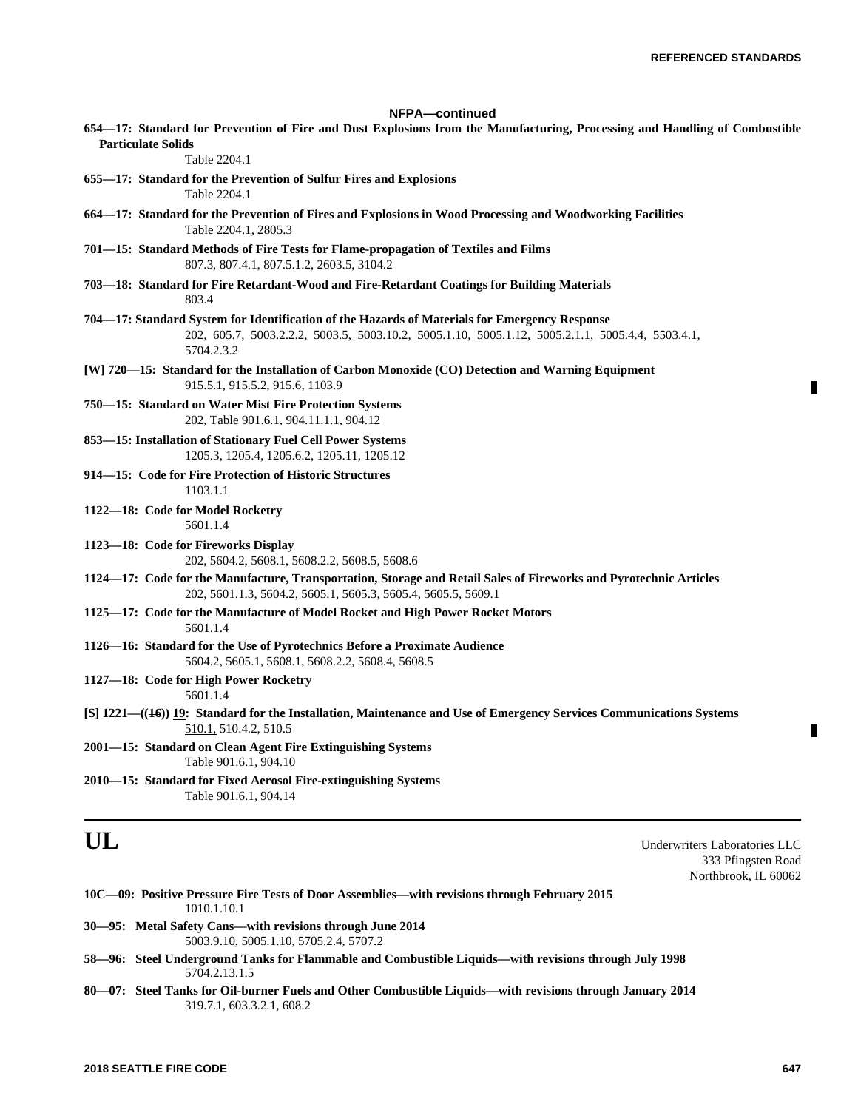П

П

| NFPA-continued                                                                                                                                                                                                  |
|-----------------------------------------------------------------------------------------------------------------------------------------------------------------------------------------------------------------|
| 654—17: Standard for Prevention of Fire and Dust Explosions from the Manufacturing, Processing and Handling of Combustible                                                                                      |
| <b>Particulate Solids</b><br>Table 2204.1                                                                                                                                                                       |
| 655-17: Standard for the Prevention of Sulfur Fires and Explosions<br>Table 2204.1                                                                                                                              |
| 664—17: Standard for the Prevention of Fires and Explosions in Wood Processing and Woodworking Facilities<br>Table 2204.1, 2805.3                                                                               |
| 701—15: Standard Methods of Fire Tests for Flame-propagation of Textiles and Films<br>807.3, 807.4.1, 807.5.1.2, 2603.5, 3104.2                                                                                 |
| 703—18: Standard for Fire Retardant-Wood and Fire-Retardant Coatings for Building Materials<br>803.4                                                                                                            |
| 704—17: Standard System for Identification of the Hazards of Materials for Emergency Response<br>202, 605.7, 5003.2.2.2, 5003.5, 5003.10.2, 5005.1.10, 5005.1.12, 5005.2.1.1, 5005.4.4, 5503.4.1,<br>5704.2.3.2 |
| [W] 720—15: Standard for the Installation of Carbon Monoxide (CO) Detection and Warning Equipment<br>915.5.1, 915.5.2, 915.6, 1103.9                                                                            |
| 750–15: Standard on Water Mist Fire Protection Systems<br>202, Table 901.6.1, 904.11.1.1, 904.12                                                                                                                |
| 853-15: Installation of Stationary Fuel Cell Power Systems<br>1205.3, 1205.4, 1205.6.2, 1205.11, 1205.12                                                                                                        |
| 914–15: Code for Fire Protection of Historic Structures<br>1103.1.1                                                                                                                                             |
| 1122-18: Code for Model Rocketry<br>5601.1.4                                                                                                                                                                    |
| 1123-18: Code for Fireworks Display<br>202, 5604.2, 5608.1, 5608.2.2, 5608.5, 5608.6                                                                                                                            |
| 1124-17: Code for the Manufacture, Transportation, Storage and Retail Sales of Fireworks and Pyrotechnic Articles<br>202, 5601.1.3, 5604.2, 5605.1, 5605.3, 5605.4, 5605.5, 5609.1                              |
| 1125-17: Code for the Manufacture of Model Rocket and High Power Rocket Motors<br>5601.1.4                                                                                                                      |
| 1126-16: Standard for the Use of Pyrotechnics Before a Proximate Audience<br>5604.2, 5605.1, 5608.1, 5608.2.2, 5608.4, 5608.5                                                                                   |
| 1127-18: Code for High Power Rocketry<br>5601.1.4                                                                                                                                                               |
| [S] 1221—((46)) 19: Standard for the Installation, Maintenance and Use of Emergency Services Communications Systems<br>510.1, 510.4.2, 510.5                                                                    |
| 2001-15: Standard on Clean Agent Fire Extinguishing Systems<br>Table 901.6.1, 904.10                                                                                                                            |
| 2010-15: Standard for Fixed Aerosol Fire-extinguishing Systems<br>Table 901.6.1, 904.14                                                                                                                         |
| UL<br>Underwriters Laboratories LLC                                                                                                                                                                             |

333 Pfingsten Road Northbrook, IL 60062

|  |                                                                                                                                                                                                                                                                                                                                                                                      |             |  |  | 10C—09: Positive Pressure Fire Tests of Door Assemblies—with revisions through February 2015 |
|--|--------------------------------------------------------------------------------------------------------------------------------------------------------------------------------------------------------------------------------------------------------------------------------------------------------------------------------------------------------------------------------------|-------------|--|--|----------------------------------------------------------------------------------------------|
|  |                                                                                                                                                                                                                                                                                                                                                                                      | 1010.1.10.1 |  |  |                                                                                              |
|  | $\overline{a}$ $\overline{a}$ $\overline{a}$ $\overline{a}$ $\overline{a}$ $\overline{a}$ $\overline{a}$ $\overline{a}$ $\overline{a}$ $\overline{a}$ $\overline{a}$ $\overline{a}$ $\overline{a}$ $\overline{a}$ $\overline{a}$ $\overline{a}$ $\overline{a}$ $\overline{a}$ $\overline{a}$ $\overline{a}$ $\overline{a}$ $\overline{a}$ $\overline{a}$ $\overline{a}$ $\overline{$ |             |  |  |                                                                                              |

- **30—95: Metal Safety Cans—with revisions through June 2014** 5003.9.10, 5005.1.10, 5705.2.4, 5707.2
- **58—96: Steel Underground Tanks for Flammable and Combustible Liquids—with revisions through July 1998** 5704.2.13.1.5
- **80—07: Steel Tanks for Oil-burner Fuels and Other Combustible Liquids—with revisions through January 2014** 319.7.1, 603.3.2.1, 608.2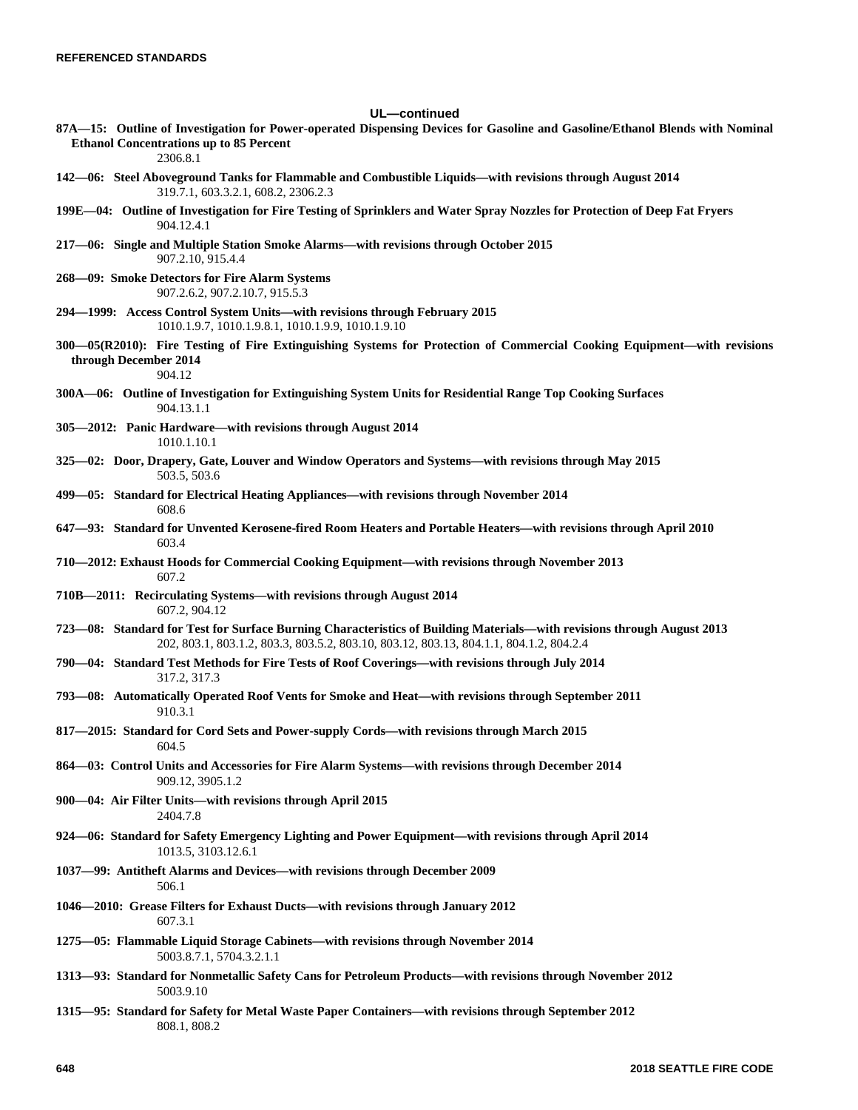### **UL—continued**

**87A—15: Outline of Investigation for Power-operated Dispensing Devices for Gasoline and Gasoline/Ethanol Blends with Nominal Ethanol Concentrations up to 85 Percent**

```
2306.8.1
```
- **142—06: Steel Aboveground Tanks for Flammable and Combustible Liquids—with revisions through August 2014** 319.7.1, 603.3.2.1, 608.2, 2306.2.3
- **199E—04: Outline of Investigation for Fire Testing of Sprinklers and Water Spray Nozzles for Protection of Deep Fat Fryers** 904.12.4.1
- **217—06: Single and Multiple Station Smoke Alarms—with revisions through October 2015** 907.2.10, 915.4.4
- **268—09: Smoke Detectors for Fire Alarm Systems** 907.2.6.2, 907.2.10.7, 915.5.3
- **294—1999: Access Control System Units—with revisions through February 2015** 1010.1.9.7, 1010.1.9.8.1, 1010.1.9.9, 1010.1.9.10
- **300—05(R2010): Fire Testing of Fire Extinguishing Systems for Protection of Commercial Cooking Equipment—with revisions through December 2014** 904.12
- **300A—06: Outline of Investigation for Extinguishing System Units for Residential Range Top Cooking Surfaces** 904.13.1.1
- **305—2012: Panic Hardware—with revisions through August 2014** 1010.1.10.1
- **325—02: Door, Drapery, Gate, Louver and Window Operators and Systems—with revisions through May 2015** 503.5, 503.6
- **499—05: Standard for Electrical Heating Appliances—with revisions through November 2014** 608.6
- **647—93: Standard for Unvented Kerosene-fired Room Heaters and Portable Heaters—with revisions through April 2010** 603.4
- **710—2012: Exhaust Hoods for Commercial Cooking Equipment—with revisions through November 2013** 607.2
- **710B—2011: Recirculating Systems—with revisions through August 2014** 607.2, 904.12
- **723—08: Standard for Test for Surface Burning Characteristics of Building Materials—with revisions through August 2013** 202, 803.1, 803.1.2, 803.3, 803.5.2, 803.10, 803.12, 803.13, 804.1.1, 804.1.2, 804.2.4
- **790—04: Standard Test Methods for Fire Tests of Roof Coverings—with revisions through July 2014** 317.2, 317.3
- **793—08: Automatically Operated Roof Vents for Smoke and Heat—with revisions through September 2011** 910.3.1
- **817—2015: Standard for Cord Sets and Power-supply Cords—with revisions through March 2015** 604.5
- **864—03: Control Units and Accessories for Fire Alarm Systems—with revisions through December 2014** 909.12, 3905.1.2
- **900—04: Air Filter Units—with revisions through April 2015** 2404.7.8
- **924—06: Standard for Safety Emergency Lighting and Power Equipment—with revisions through April 2014** 1013.5, 3103.12.6.1
- **1037—99: Antitheft Alarms and Devices—with revisions through December 2009** 506.1
- **1046—2010: Grease Filters for Exhaust Ducts—with revisions through January 2012** 607.3.1
- **1275—05: Flammable Liquid Storage Cabinets—with revisions through November 2014** 5003.8.7.1, 5704.3.2.1.1
- **1313—93: Standard for Nonmetallic Safety Cans for Petroleum Products—with revisions through November 2012** 5003.9.10
- **1315—95: Standard for Safety for Metal Waste Paper Containers—with revisions through September 2012** 808.1, 808.2